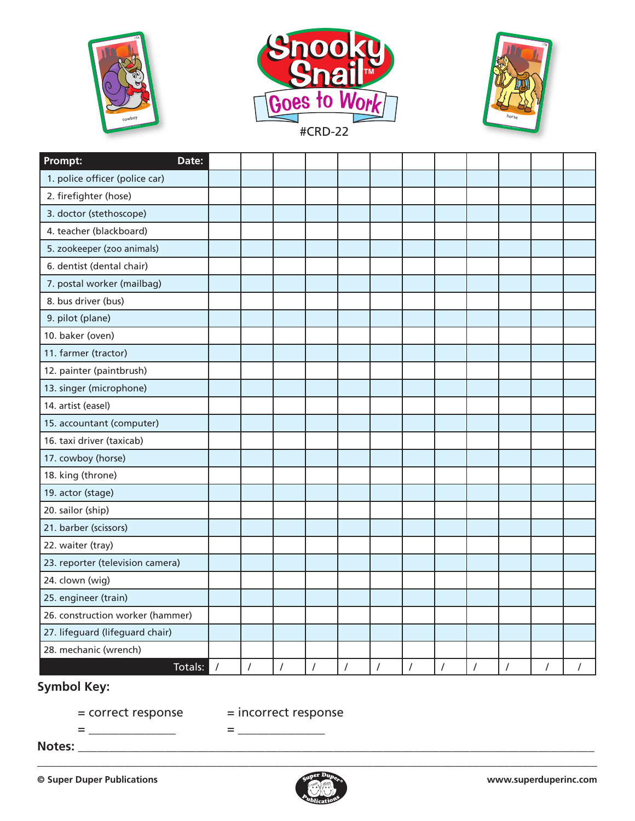





| Prompt:<br>Date:                 |          |          |          |          |          |          |          |          |            |          |          |  |
|----------------------------------|----------|----------|----------|----------|----------|----------|----------|----------|------------|----------|----------|--|
| 1. police officer (police car)   |          |          |          |          |          |          |          |          |            |          |          |  |
| 2. firefighter (hose)            |          |          |          |          |          |          |          |          |            |          |          |  |
| 3. doctor (stethoscope)          |          |          |          |          |          |          |          |          |            |          |          |  |
| 4. teacher (blackboard)          |          |          |          |          |          |          |          |          |            |          |          |  |
| 5. zookeeper (zoo animals)       |          |          |          |          |          |          |          |          |            |          |          |  |
| 6. dentist (dental chair)        |          |          |          |          |          |          |          |          |            |          |          |  |
| 7. postal worker (mailbag)       |          |          |          |          |          |          |          |          |            |          |          |  |
| 8. bus driver (bus)              |          |          |          |          |          |          |          |          |            |          |          |  |
| 9. pilot (plane)                 |          |          |          |          |          |          |          |          |            |          |          |  |
| 10. baker (oven)                 |          |          |          |          |          |          |          |          |            |          |          |  |
| 11. farmer (tractor)             |          |          |          |          |          |          |          |          |            |          |          |  |
| 12. painter (paintbrush)         |          |          |          |          |          |          |          |          |            |          |          |  |
| 13. singer (microphone)          |          |          |          |          |          |          |          |          |            |          |          |  |
| 14. artist (easel)               |          |          |          |          |          |          |          |          |            |          |          |  |
| 15. accountant (computer)        |          |          |          |          |          |          |          |          |            |          |          |  |
| 16. taxi driver (taxicab)        |          |          |          |          |          |          |          |          |            |          |          |  |
| 17. cowboy (horse)               |          |          |          |          |          |          |          |          |            |          |          |  |
| 18. king (throne)                |          |          |          |          |          |          |          |          |            |          |          |  |
| 19. actor (stage)                |          |          |          |          |          |          |          |          |            |          |          |  |
| 20. sailor (ship)                |          |          |          |          |          |          |          |          |            |          |          |  |
| 21. barber (scissors)            |          |          |          |          |          |          |          |          |            |          |          |  |
| 22. waiter (tray)                |          |          |          |          |          |          |          |          |            |          |          |  |
| 23. reporter (television camera) |          |          |          |          |          |          |          |          |            |          |          |  |
| 24. clown (wig)                  |          |          |          |          |          |          |          |          |            |          |          |  |
| 25. engineer (train)             |          |          |          |          |          |          |          |          |            |          |          |  |
| 26. construction worker (hammer) |          |          |          |          |          |          |          |          |            |          |          |  |
| 27. lifeguard (lifeguard chair)  |          |          |          |          |          |          |          |          |            |          |          |  |
| 28. mechanic (wrench)            |          |          |          |          |          |          |          |          |            |          |          |  |
| Totals:                          | $\prime$ | $\prime$ | $\prime$ | $\prime$ | $\prime$ | $\prime$ | $\prime$ | $\prime$ | $\sqrt{2}$ | $\prime$ | $\prime$ |  |

## **Symbol Key:**

= correct response = incorrect response = \_\_\_\_\_\_\_\_\_\_\_\_\_\_ = \_\_\_\_\_\_\_\_\_\_\_\_\_\_

**Notes:** \_\_\_\_\_\_\_\_\_\_\_\_\_\_\_\_\_\_\_\_\_\_\_\_\_\_\_\_\_\_\_\_\_\_\_\_\_\_\_\_\_\_\_\_\_\_\_\_\_\_\_\_\_\_\_\_\_\_\_\_\_\_\_\_\_\_\_\_\_\_\_\_\_\_\_\_\_\_\_\_\_\_\_